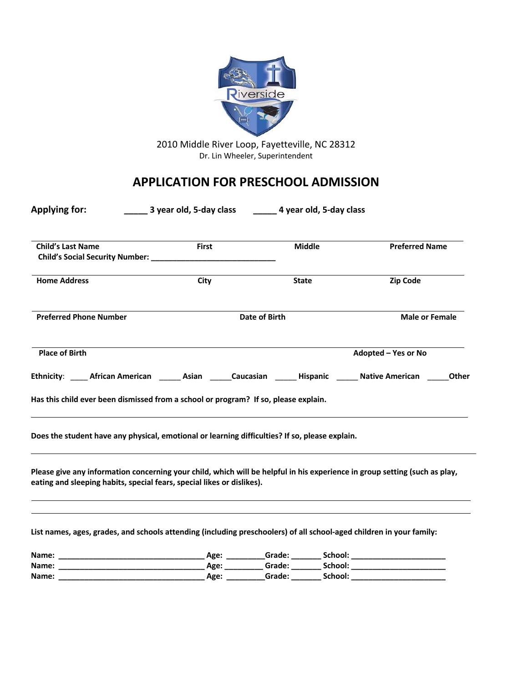

2010 Middle River Loop, Fayetteville, NC 28312 Dr. Lin Wheeler, Superintendent

# **APPLICATION FOR PRESCHOOL ADMISSION**

| <b>Applying for:</b>                                                                                                                                                                                 | ________ 3 year old, 5-day class | ________ 4 year old, 5-day class |         |                       |
|------------------------------------------------------------------------------------------------------------------------------------------------------------------------------------------------------|----------------------------------|----------------------------------|---------|-----------------------|
| <b>Child's Last Name</b>                                                                                                                                                                             | <b>First</b>                     | <b>Middle</b>                    |         | <b>Preferred Name</b> |
| Child's Social Security Number: ___                                                                                                                                                                  |                                  |                                  |         |                       |
| <b>Home Address</b>                                                                                                                                                                                  | City                             | <b>State</b>                     |         | <b>Zip Code</b>       |
| <b>Preferred Phone Number</b>                                                                                                                                                                        |                                  | <b>Date of Birth</b>             |         | <b>Male or Female</b> |
| <b>Place of Birth</b>                                                                                                                                                                                |                                  |                                  |         | Adopted - Yes or No   |
| Ethnicity: African American Masian Caucasian Hispanic Native American                                                                                                                                |                                  |                                  |         | <b>Other</b>          |
| Has this child ever been dismissed from a school or program? If so, please explain.                                                                                                                  |                                  |                                  |         |                       |
| Does the student have any physical, emotional or learning difficulties? If so, please explain.                                                                                                       |                                  |                                  |         |                       |
| Please give any information concerning your child, which will be helpful in his experience in group setting (such as play,<br>eating and sleeping habits, special fears, special likes or dislikes). |                                  |                                  |         |                       |
|                                                                                                                                                                                                      |                                  |                                  |         |                       |
| List names, ages, grades, and schools attending (including preschoolers) of all school-aged children in your family:                                                                                 |                                  |                                  |         |                       |
| Name:                                                                                                                                                                                                |                                  |                                  |         |                       |
| Name: _                                                                                                                                                                                              |                                  |                                  |         |                       |
| Name:                                                                                                                                                                                                | Age: _                           | _Grade: __                       | School: |                       |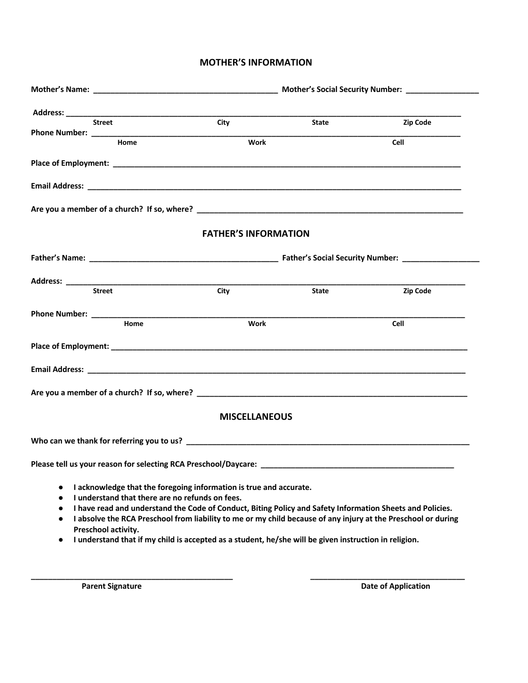### **MOTHER'S INFORMATION**

|                                                       | <b>Street</b>                                                                                                                                | City                        | State                                                                                                                                                                                                                                                                                                                               | <b>Zip Code</b> |
|-------------------------------------------------------|----------------------------------------------------------------------------------------------------------------------------------------------|-----------------------------|-------------------------------------------------------------------------------------------------------------------------------------------------------------------------------------------------------------------------------------------------------------------------------------------------------------------------------------|-----------------|
|                                                       | Home                                                                                                                                         | Work                        |                                                                                                                                                                                                                                                                                                                                     | Cell            |
|                                                       |                                                                                                                                              |                             |                                                                                                                                                                                                                                                                                                                                     |                 |
|                                                       |                                                                                                                                              |                             |                                                                                                                                                                                                                                                                                                                                     |                 |
|                                                       |                                                                                                                                              |                             |                                                                                                                                                                                                                                                                                                                                     |                 |
|                                                       |                                                                                                                                              | <b>FATHER'S INFORMATION</b> |                                                                                                                                                                                                                                                                                                                                     |                 |
|                                                       |                                                                                                                                              |                             |                                                                                                                                                                                                                                                                                                                                     |                 |
|                                                       |                                                                                                                                              |                             |                                                                                                                                                                                                                                                                                                                                     |                 |
|                                                       | <b>Street</b>                                                                                                                                | City                        | State                                                                                                                                                                                                                                                                                                                               | Zip Code        |
|                                                       |                                                                                                                                              |                             |                                                                                                                                                                                                                                                                                                                                     |                 |
|                                                       | Home                                                                                                                                         | Work                        |                                                                                                                                                                                                                                                                                                                                     | <b>Cell</b>     |
|                                                       |                                                                                                                                              |                             |                                                                                                                                                                                                                                                                                                                                     |                 |
|                                                       |                                                                                                                                              |                             |                                                                                                                                                                                                                                                                                                                                     |                 |
|                                                       |                                                                                                                                              |                             |                                                                                                                                                                                                                                                                                                                                     |                 |
|                                                       |                                                                                                                                              | <b>MISCELLANEOUS</b>        |                                                                                                                                                                                                                                                                                                                                     |                 |
|                                                       |                                                                                                                                              |                             |                                                                                                                                                                                                                                                                                                                                     |                 |
|                                                       |                                                                                                                                              |                             |                                                                                                                                                                                                                                                                                                                                     |                 |
| $\bullet$<br>٠<br>$\bullet$<br>$\bullet$<br>$\bullet$ | I acknowledge that the foregoing information is true and accurate.<br>I understand that there are no refunds on fees.<br>Preschool activity. |                             | I have read and understand the Code of Conduct, Biting Policy and Safety Information Sheets and Policies.<br>I absolve the RCA Preschool from liability to me or my child because of any injury at the Preschool or during<br>I understand that if my child is accepted as a student, he/she will be given instruction in religion. |                 |

**\_\_\_\_\_\_\_\_\_\_\_\_\_\_\_\_\_\_\_\_\_\_\_\_\_\_\_\_\_\_\_\_\_\_\_\_\_\_\_\_\_\_\_\_\_\_\_ \_\_\_\_\_\_\_\_\_\_\_\_\_\_\_\_\_\_\_\_\_\_\_\_\_\_\_\_\_\_\_\_\_\_\_\_**

**Parent Signature Date of Application**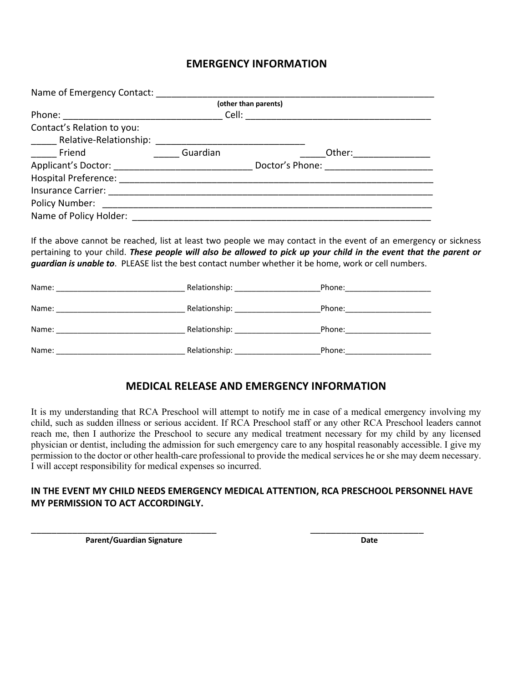## **EMERGENCY INFORMATION**

| Name of Emergency Contact:  |                      |                 |
|-----------------------------|----------------------|-----------------|
|                             | (other than parents) |                 |
| Phone: _________            | Cell:                |                 |
| Contact's Relation to you:  |                      |                 |
| Relative-Relationship:      |                      |                 |
| <b>Example 1</b>            | Guardian             | Other:          |
| Applicant's Doctor:         |                      | Doctor's Phone: |
| <b>Hospital Preference:</b> |                      |                 |
| <b>Insurance Carrier:</b>   |                      |                 |
| Policy Number:              |                      |                 |
| Name of Policy Holder:      |                      |                 |

If the above cannot be reached, list at least two people we may contact in the event of an emergency or sickness pertaining to your child. *These people will also be allowed to pick up your child in the event that the parent or guardian is unable to*. PLEASE list the best contact number whether it be home, work or cell numbers.

| Name: |               | Phone: |
|-------|---------------|--------|
| Name: | Relationship: | Phone: |
| Name: | Relationship: | Phone: |
| Name: | Relationship: | Phone: |

## **MEDICAL RELEASE AND EMERGENCY INFORMATION**

It is my understanding that RCA Preschool will attempt to notify me in case of a medical emergency involving my child, such as sudden illness or serious accident. If RCA Preschool staff or any other RCA Preschool leaders cannot reach me, then I authorize the Preschool to secure any medical treatment necessary for my child by any licensed physician or dentist, including the admission for such emergency care to any hospital reasonably accessible. I give my permission to the doctor or other health-care professional to provide the medical services he or she may deem necessary. I will accept responsibility for medical expenses so incurred.

## **IN THE EVENT MY CHILD NEEDS EMERGENCY MEDICAL ATTENTION, RCA PRESCHOOL PERSONNEL HAVE MY PERMISSION TO ACT ACCORDINGLY.**

\_\_\_\_\_\_\_\_\_\_\_\_\_\_\_\_\_\_\_\_\_\_\_\_\_\_\_\_\_\_\_\_\_\_\_\_ \_\_\_\_\_\_\_\_\_\_\_\_\_\_\_\_\_\_\_\_\_\_

**Parent/Guardian Signature Date** Date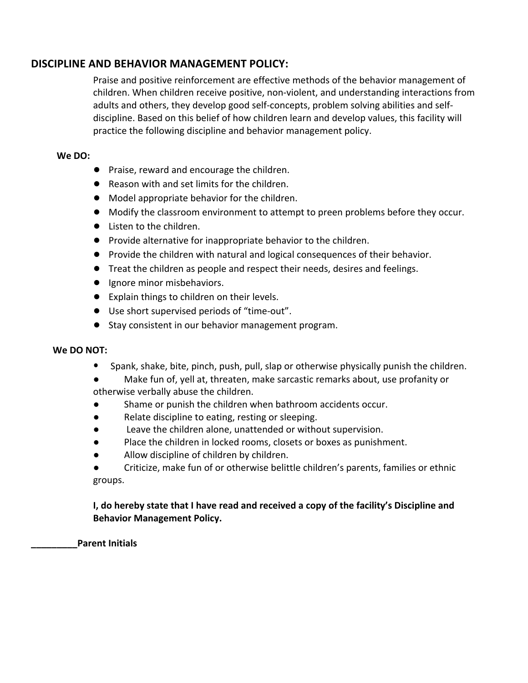## **DISCIPLINE AND BEHAVIOR MANAGEMENT POLICY:**

Praise and positive reinforcement are effective methods of the behavior management of children. When children receive positive, non-violent, and understanding interactions from adults and others, they develop good self-concepts, problem solving abilities and selfdiscipline. Based on this belief of how children learn and develop values, this facility will practice the following discipline and behavior management policy.

## **We DO:**

- **●** Praise, reward and encourage the children.
- **●** Reason with and set limits for the children.
- **●** Model appropriate behavior for the children.
- **●** Modify the classroom environment to attempt to preen problems before they occur.
- **●** Listen to the children.
- **●** Provide alternative for inappropriate behavior to the children.
- **●** Provide the children with natural and logical consequences of their behavior.
- **●** Treat the children as people and respect their needs, desires and feelings.
- **●** Ignore minor misbehaviors.
- **●** Explain things to children on their levels.
- **●** Use short supervised periods of "time-out".
- **●** Stay consistent in our behavior management program.

## **We DO NOT:**

- ⦁ Spank, shake, bite, pinch, push, pull, slap or otherwise physically punish the children.
- **●** Make fun of, yell at, threaten, make sarcastic remarks about, use profanity or otherwise verbally abuse the children.
- Shame or punish the children when bathroom accidents occur.
- **●** Relate discipline to eating, resting or sleeping.
- Leave the children alone, unattended or without supervision.
- **●** Place the children in locked rooms, closets or boxes as punishment.
- Allow discipline of children by children.
- **●** Criticize, make fun of or otherwise belittle children's parents, families or ethnic groups.

**I, do hereby state that I have read and received a copy of the facility's Discipline and Behavior Management Policy.**

**\_\_\_\_\_\_\_\_\_Parent Initials**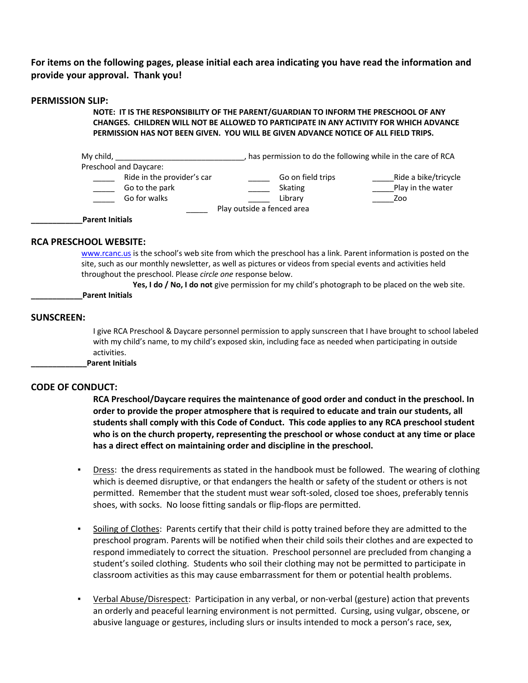**For items on the following pages, please initial each area indicating you have read the information and provide your approval. Thank you!**

#### **PERMISSION SLIP:**

**NOTE: IT IS THE RESPONSIBILITY OF THE PARENT/GUARDIAN TO INFORM THE PRESCHOOL OF ANY CHANGES. CHILDREN WILL NOT BE ALLOWED TO PARTICIPATE IN ANY ACTIVITY FOR WHICH ADVANCE PERMISSION HAS NOT BEEN GIVEN. YOU WILL BE GIVEN ADVANCE NOTICE OF ALL FIELD TRIPS.**

| My child,                                                    | has permission to do the following while in the care of RCA |                                                  |
|--------------------------------------------------------------|-------------------------------------------------------------|--------------------------------------------------|
| Preschool and Daycare:                                       |                                                             |                                                  |
| Ride in the provider's car<br>Go to the park<br>Go for walks | Go on field trips<br>Skating<br>Library                     | Ride a bike/tricycle<br>Play in the water<br>Zoo |
| <b>Parent Initials</b>                                       | Play outside a fenced area                                  |                                                  |

#### **RCA PRESCHOOL WEBSITE:**

www.rcanc.us is the school's web site from which the preschool has a link. Parent information is posted on the site, such as our monthly newsletter, as well as pictures or videos from special events and activities held throughout the preschool. Please *circle one* response below.

**Yes, I do / No, I do not** give permission for my child's photograph to be placed on the web site.

**\_\_\_\_\_\_\_\_\_\_\_\_Parent Initials**

#### **SUNSCREEN:**

I give RCA Preschool & Daycare personnel permission to apply sunscreen that I have brought to school labeled with my child's name, to my child's exposed skin, including face as needed when participating in outside activities.

**\_\_\_\_\_\_\_\_\_\_\_\_\_Parent Initials**

#### **CODE OF CONDUCT:**

**RCA Preschool/Daycare requires the maintenance of good order and conduct in the preschool. In order to provide the proper atmosphere that is required to educate and train our students, all students shall comply with this Code of Conduct. This code applies to any RCA preschool student who is on the church property, representing the preschool or whose conduct at any time or place has a direct effect on maintaining order and discipline in the preschool.** 

- Dress: the dress requirements as stated in the handbook must be followed. The wearing of clothing which is deemed disruptive, or that endangers the health or safety of the student or others is not permitted. Remember that the student must wear soft-soled, closed toe shoes, preferably tennis shoes, with socks. No loose fitting sandals or flip-flops are permitted.
- Soiling of Clothes: Parents certify that their child is potty trained before they are admitted to the preschool program. Parents will be notified when their child soils their clothes and are expected to respond immediately to correct the situation. Preschool personnel are precluded from changing a student's soiled clothing. Students who soil their clothing may not be permitted to participate in classroom activities as this may cause embarrassment for them or potential health problems.
- Verbal Abuse/Disrespect: Participation in any verbal, or non-verbal (gesture) action that prevents an orderly and peaceful learning environment is not permitted. Cursing, using vulgar, obscene, or abusive language or gestures, including slurs or insults intended to mock a person's race, sex,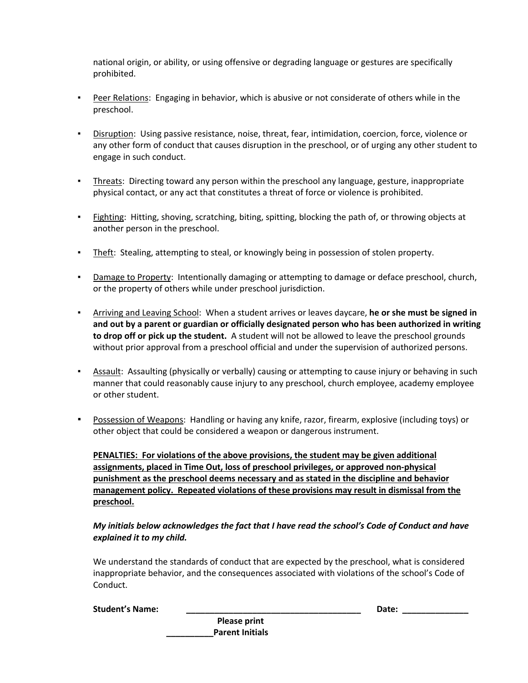national origin, or ability, or using offensive or degrading language or gestures are specifically prohibited.

- Peer Relations: Engaging in behavior, which is abusive or not considerate of others while in the preschool.
- Disruption: Using passive resistance, noise, threat, fear, intimidation, coercion, force, violence or any other form of conduct that causes disruption in the preschool, or of urging any other student to engage in such conduct.
- Threats: Directing toward any person within the preschool any language, gesture, inappropriate physical contact, or any act that constitutes a threat of force or violence is prohibited.
- **Eighting:** Hitting, shoving, scratching, biting, spitting, blocking the path of, or throwing objects at another person in the preschool.
- **EXEL THEFT:** Stealing, attempting to steal, or knowingly being in possession of stolen property.
- **•** Damage to Property: Intentionally damaging or attempting to damage or deface preschool, church, or the property of others while under preschool jurisdiction.
- Arriving and Leaving School: When a student arrives or leaves daycare, **he or she must be signed in and out by a parent or guardian or officially designated person who has been authorized in writing to drop off or pick up the student.** A student will not be allowed to leave the preschool grounds without prior approval from a preschool official and under the supervision of authorized persons.
- **•** Assault: Assaulting (physically or verbally) causing or attempting to cause injury or behaving in such manner that could reasonably cause injury to any preschool, church employee, academy employee or other student.
- Possession of Weapons: Handling or having any knife, razor, firearm, explosive (including toys) or other object that could be considered a weapon or dangerous instrument.

**PENALTIES: For violations of the above provisions, the student may be given additional assignments, placed in Time Out, loss of preschool privileges, or approved non-physical punishment as the preschool deems necessary and as stated in the discipline and behavior management policy. Repeated violations of these provisions may result in dismissal from the preschool.** 

#### *My initials below acknowledges the fact that I have read the school's Code of Conduct and have explained it to my child.*

We understand the standards of conduct that are expected by the preschool, what is considered inappropriate behavior, and the consequences associated with violations of the school's Code of Conduct.

|  |  | <b>Student's Name:</b> |
|--|--|------------------------|
|--|--|------------------------|

**Please print \_\_\_\_\_\_\_\_\_\_Parent Initials** **Student's Name: \_\_\_\_\_\_\_\_\_\_\_\_\_\_\_\_\_\_\_\_\_\_\_\_\_\_\_\_\_\_\_\_\_\_\_\_\_ Date: \_\_\_\_\_\_\_\_\_\_\_\_\_\_**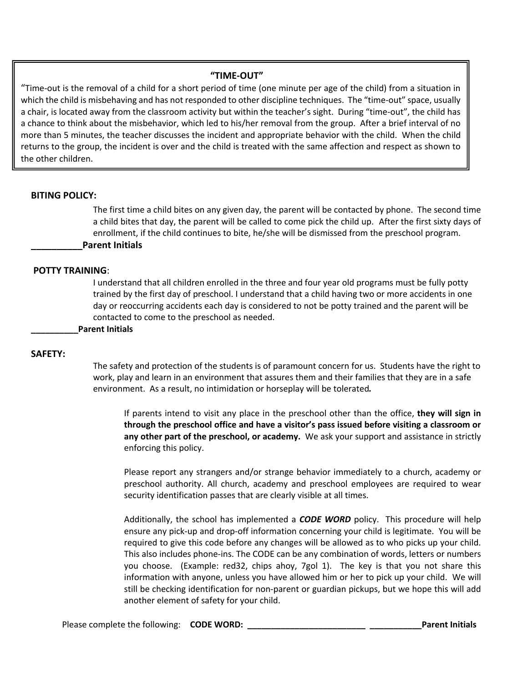#### **"TIME-OUT"**

"Time-out is the removal of a child for a short period of time (one minute per age of the child) from a situation in which the child is misbehaving and has not responded to other discipline techniques. The "time-out" space, usually a chair, is located away from the classroom activity but within the teacher's sight. During "time-out", the child has a chance to think about the misbehavior, which led to his/her removal from the group. After a brief interval of no more than 5 minutes, the teacher discusses the incident and appropriate behavior with the child. When the child returns to the group, the incident is over and the child is treated with the same affection and respect as shown to the other children.

#### **BITING POLICY:**

The first time a child bites on any given day, the parent will be contacted by phone. The second time a child bites that day, the parent will be called to come pick the child up. After the first sixty days of enrollment, if the child continues to bite, he/she will be dismissed from the preschool program. **\_\_\_\_\_\_\_\_\_\_Parent Initials**

#### **POTTY TRAINING**:

I understand that all children enrolled in the three and four year old programs must be fully potty trained by the first day of preschool. I understand that a child having two or more accidents in one day or reoccurring accidents each day is considered to not be potty trained and the parent will be contacted to come to the preschool as needed.

**\_\_\_\_\_\_\_\_\_\_Parent Initials**

#### **SAFETY:**

The safety and protection of the students is of paramount concern for us. Students have the right to work, play and learn in an environment that assures them and their families that they are in a safe environment. As a result, no intimidation or horseplay will be tolerated.

If parents intend to visit any place in the preschool other than the office, **they will sign in through the preschool office and have a visitor's pass issued before visiting a classroom or any other part of the preschool, or academy.** We ask your support and assistance in strictly enforcing this policy.

Please report any strangers and/or strange behavior immediately to a church, academy or preschool authority. All church, academy and preschool employees are required to wear security identification passes that are clearly visible at all times.

Additionally, the school has implemented a *CODE WORD* policy. This procedure will help ensure any pick-up and drop-off information concerning your child is legitimate. You will be required to give this code before any changes will be allowed as to who picks up your child. This also includes phone-ins. The CODE can be any combination of words, letters or numbers you choose. (Example: red32, chips ahoy, 7gol 1). The key is that you not share this information with anyone, unless you have allowed him or her to pick up your child. We will still be checking identification for non-parent or guardian pickups, but we hope this will add another element of safety for your child.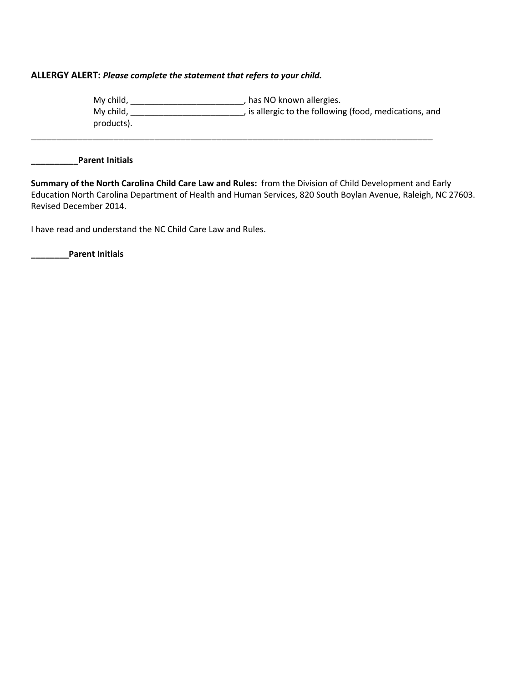#### **ALLERGY ALERT:** *Please complete the statement that refers to your child.*

My child, \_\_\_\_\_\_\_\_\_\_\_\_\_\_\_\_\_\_\_\_\_\_\_\_, has NO known allergies. My child, \_\_\_\_\_\_\_\_\_\_\_\_\_\_\_\_\_\_\_\_\_\_\_, is allergic to the following (food, medications, and products). \_\_\_\_\_\_\_\_\_\_\_\_\_\_\_\_\_\_\_\_\_\_\_\_\_\_\_\_\_\_\_\_\_\_\_\_\_\_\_\_\_\_\_\_\_\_\_\_\_\_\_\_\_\_\_\_\_\_\_\_\_\_\_\_\_\_\_\_\_\_\_\_\_\_\_\_\_\_

**\_\_\_\_\_\_\_\_\_\_Parent Initials**

**Summary of the North Carolina Child Care Law and Rules:** from the Division of Child Development and Early Education North Carolina Department of Health and Human Services, 820 South Boylan Avenue, Raleigh, NC 27603. Revised December 2014.

I have read and understand the NC Child Care Law and Rules.

**\_\_\_\_\_\_\_\_Parent Initials**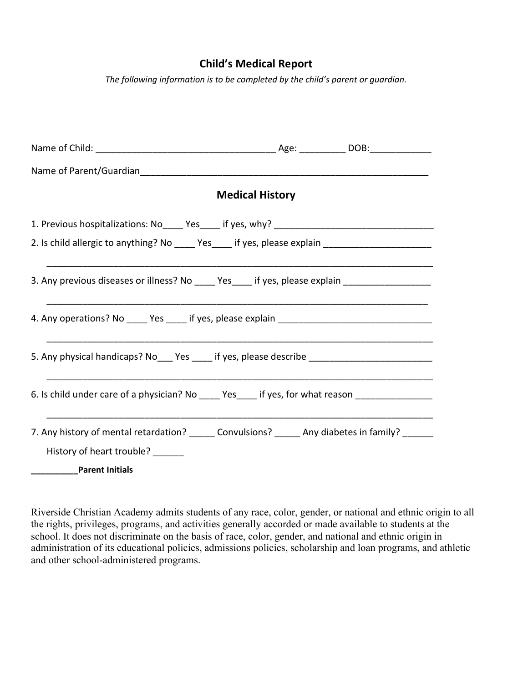## **Child's Medical Report**

*The following information is to be completed by the child's parent or guardian.*

|                                                                                                                                                               | <b>Medical History</b> |  |
|---------------------------------------------------------------------------------------------------------------------------------------------------------------|------------------------|--|
|                                                                                                                                                               |                        |  |
| 2. Is child allergic to anything? No _____ Yes____ if yes, please explain _________________________                                                           |                        |  |
| 3. Any previous diseases or illness? No _____ Yes _____ if yes, please explain ____________________                                                           |                        |  |
|                                                                                                                                                               |                        |  |
| 5. Any physical handicaps? No___ Yes ____ if yes, please describe __________________________________                                                          |                        |  |
| 6. Is child under care of a physician? No _____ Yes_____ if yes, for what reason __________________                                                           |                        |  |
| 7. Any history of mental retardation? ______ Convulsions? ______ Any diabetes in family? ______<br>History of heart trouble? ______<br><b>Parent Initials</b> |                        |  |

Riverside Christian Academy admits students of any race, color, gender, or national and ethnic origin to all the rights, privileges, programs, and activities generally accorded or made available to students at the school. It does not discriminate on the basis of race, color, gender, and national and ethnic origin in administration of its educational policies, admissions policies, scholarship and loan programs, and athletic and other school-administered programs.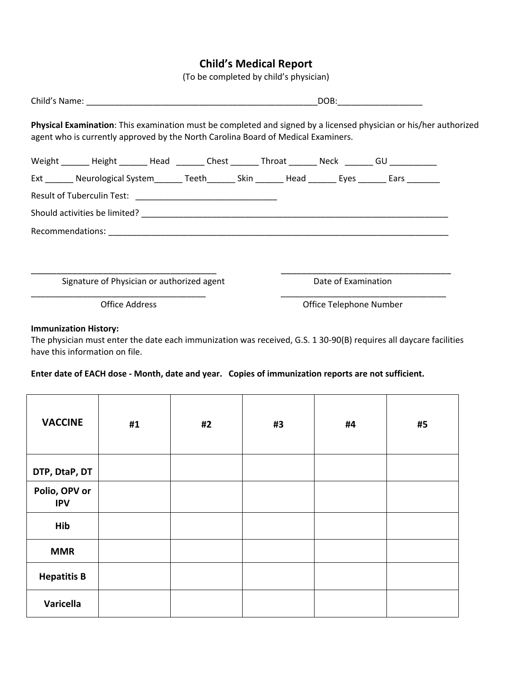# **Child's Medical Report**

(To be completed by child's physician)

|                                                                                                                                                                                                        |                         | DOB: |  |
|--------------------------------------------------------------------------------------------------------------------------------------------------------------------------------------------------------|-------------------------|------|--|
| Physical Examination: This examination must be completed and signed by a licensed physician or his/her authorized<br>agent who is currently approved by the North Carolina Board of Medical Examiners. |                         |      |  |
| Weight _______ Height _______ Head _______ Chest _______ Throat _______ Neck _______ GU ___________                                                                                                    |                         |      |  |
| Ext _______ Neurological System________ Teeth________ Skin ________ Head ________ Eyes ________ Ears ________                                                                                          |                         |      |  |
|                                                                                                                                                                                                        |                         |      |  |
|                                                                                                                                                                                                        |                         |      |  |
|                                                                                                                                                                                                        |                         |      |  |
|                                                                                                                                                                                                        |                         |      |  |
|                                                                                                                                                                                                        |                         |      |  |
| Signature of Physician or authorized agent                                                                                                                                                             | Date of Examination     |      |  |
| <b>Office Address</b>                                                                                                                                                                                  | Office Telephone Number |      |  |
|                                                                                                                                                                                                        |                         |      |  |

#### **Immunization History:**

The physician must enter the date each immunization was received, G.S. 1 30-90(B) requires all daycare facilities have this information on file.

#### **Enter date of EACH dose - Month, date and year. Copies of immunization reports are not sufficient.**

| <b>VACCINE</b>              | #1 | #2 | #3 | #4 | #5 |
|-----------------------------|----|----|----|----|----|
| DTP, DtaP, DT               |    |    |    |    |    |
| Polio, OPV or<br><b>IPV</b> |    |    |    |    |    |
| Hib                         |    |    |    |    |    |
| <b>MMR</b>                  |    |    |    |    |    |
| <b>Hepatitis B</b>          |    |    |    |    |    |
| Varicella                   |    |    |    |    |    |